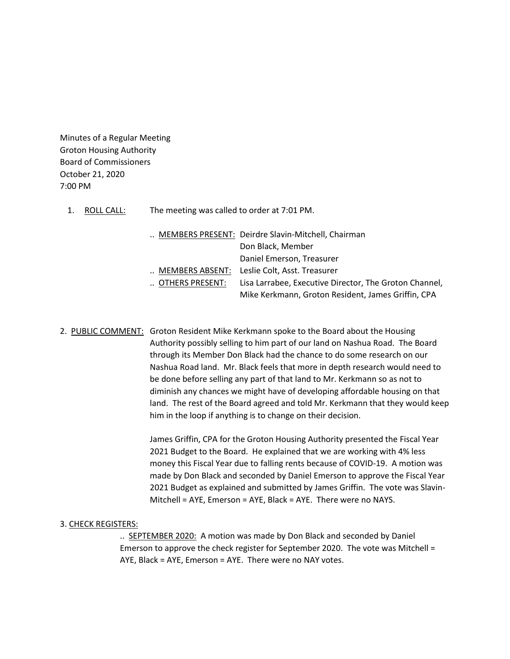Minutes of a Regular Meeting Groton Housing Authority Board of Commissioners October 21, 2020 7:00 PM

1. ROLL CALL: The meeting was called to order at 7:01 PM.

|                 | MEMBERS PRESENT: Deirdre Slavin-Mitchell, Chairman     |
|-----------------|--------------------------------------------------------|
|                 | Don Black, Member                                      |
|                 | Daniel Emerson, Treasurer                              |
|                 | MEMBERS ABSENT: Leslie Colt, Asst. Treasurer           |
| OTHERS PRESENT: | Lisa Larrabee, Executive Director, The Groton Channel, |
|                 | Mike Kerkmann, Groton Resident, James Griffin, CPA     |

2. PUBLIC COMMENT: Groton Resident Mike Kerkmann spoke to the Board about the Housing Authority possibly selling to him part of our land on Nashua Road. The Board through its Member Don Black had the chance to do some research on our Nashua Road land. Mr. Black feels that more in depth research would need to be done before selling any part of that land to Mr. Kerkmann so as not to diminish any chances we might have of developing affordable housing on that land. The rest of the Board agreed and told Mr. Kerkmann that they would keep him in the loop if anything is to change on their decision.

> James Griffin, CPA for the Groton Housing Authority presented the Fiscal Year 2021 Budget to the Board. He explained that we are working with 4% less money this Fiscal Year due to falling rents because of COVID-19. A motion was made by Don Black and seconded by Daniel Emerson to approve the Fiscal Year 2021 Budget as explained and submitted by James Griffin. The vote was Slavin-Mitchell = AYE, Emerson = AYE, Black = AYE. There were no NAYS.

#### 3. CHECK REGISTERS:

.. SEPTEMBER 2020: A motion was made by Don Black and seconded by Daniel Emerson to approve the check register for September 2020. The vote was Mitchell = AYE, Black = AYE, Emerson = AYE. There were no NAY votes.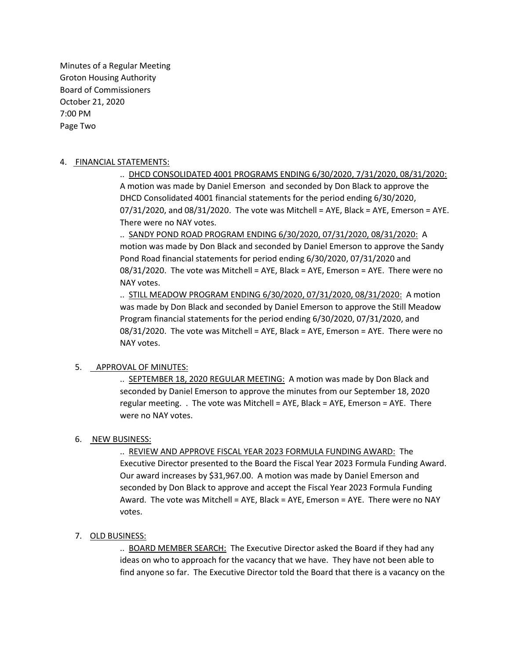Minutes of a Regular Meeting Groton Housing Authority Board of Commissioners October 21, 2020 7:00 PM Page Two

### 4. FINANCIAL STATEMENTS:

.. DHCD CONSOLIDATED 4001 PROGRAMS ENDING 6/30/2020, 7/31/2020, 08/31/2020: A motion was made by Daniel Emerson and seconded by Don Black to approve the DHCD Consolidated 4001 financial statements for the period ending 6/30/2020,  $07/31/2020$ , and  $08/31/2020$ . The vote was Mitchell = AYE, Black = AYE, Emerson = AYE. There were no NAY votes.

.. SANDY POND ROAD PROGRAM ENDING 6/30/2020, 07/31/2020, 08/31/2020: A motion was made by Don Black and seconded by Daniel Emerson to approve the Sandy Pond Road financial statements for period ending 6/30/2020, 07/31/2020 and 08/31/2020. The vote was Mitchell = AYE, Black = AYE, Emerson = AYE. There were no NAY votes.

.. STILL MEADOW PROGRAM ENDING 6/30/2020, 07/31/2020, 08/31/2020: A motion was made by Don Black and seconded by Daniel Emerson to approve the Still Meadow Program financial statements for the period ending 6/30/2020, 07/31/2020, and 08/31/2020. The vote was Mitchell = AYE, Black = AYE, Emerson = AYE. There were no NAY votes.

# 5. APPROVAL OF MINUTES:

.. SEPTEMBER 18, 2020 REGULAR MEETING: A motion was made by Don Black and seconded by Daniel Emerson to approve the minutes from our September 18, 2020 regular meeting. . The vote was Mitchell = AYE, Black = AYE, Emerson = AYE. There were no NAY votes.

## 6. NEW BUSINESS:

.. REVIEW AND APPROVE FISCAL YEAR 2023 FORMULA FUNDING AWARD: The Executive Director presented to the Board the Fiscal Year 2023 Formula Funding Award. Our award increases by \$31,967.00. A motion was made by Daniel Emerson and seconded by Don Black to approve and accept the Fiscal Year 2023 Formula Funding Award. The vote was Mitchell = AYE, Black = AYE, Emerson = AYE. There were no NAY votes.

## 7. OLD BUSINESS:

.. BOARD MEMBER SEARCH: The Executive Director asked the Board if they had any ideas on who to approach for the vacancy that we have. They have not been able to find anyone so far. The Executive Director told the Board that there is a vacancy on the